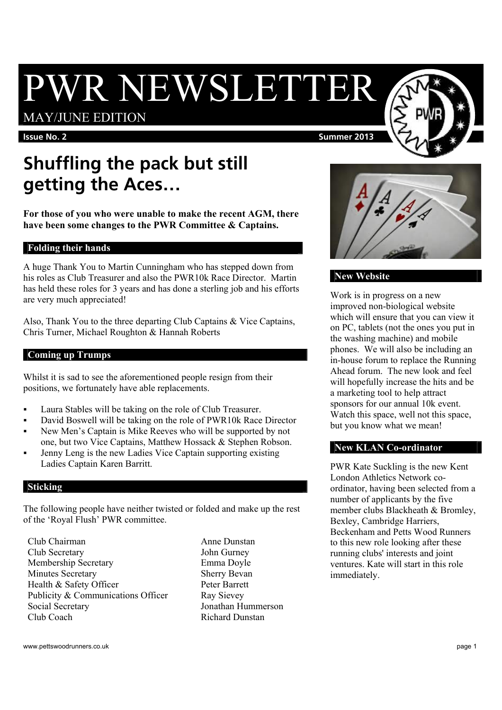# PWR NEWSLETTER

## MAY/JUNE EDITION

#### **Issue No. 2** Summer 2013

# **Shuffling the pack but still getting the Aces…**

**For those of you who were unable to make the recent AGM, there have been some changes to the PWR Committee & Captains.** 

#### **Folding their hands**

A huge Thank You to Martin Cunningham who has stepped down from his roles as Club Treasurer and also the PWR10k Race Director. Martin has held these roles for 3 years and has done a sterling job and his efforts are very much appreciated!

Also, Thank You to the three departing Club Captains & Vice Captains, Chris Turner, Michael Roughton & Hannah Roberts

#### **Coming up Trumps**

Whilst it is sad to see the aforementioned people resign from their positions, we fortunately have able replacements.

- Laura Stables will be taking on the role of Club Treasurer.
- David Boswell will be taking on the role of PWR10k Race Director
- New Men's Captain is Mike Reeves who will be supported by not one, but two Vice Captains, Matthew Hossack & Stephen Robson.
- Jenny Leng is the new Ladies Vice Captain supporting existing Ladies Captain Karen Barritt.

#### **Sticking**

The following people have neither twisted or folded and make up the rest of the 'Royal Flush' PWR committee.

Club Chairman Anne Dunstan Club Secretary John Gurney Membership Secretary Emma Doyle Minutes Secretary Sherry Bevan Health & Safety Officer Peter Barrett Publicity & Communications Officer Ray Sievey Social Secretary Jonathan Hummerson Club Coach Richard Dunstan



### **New Website**

Work is in progress on a new improved non-biological website which will ensure that you can view it on PC, tablets (not the ones you put in the washing machine) and mobile phones. We will also be including an in-house forum to replace the Running Ahead forum. The new look and feel will hopefully increase the hits and be a marketing tool to help attract sponsors for our annual 10k event. Watch this space, well not this space, but you know what we mean!

#### **New KLAN Co-ordinator**

PWR Kate Suckling is the new Kent London Athletics Network coordinator, having been selected from a number of applicants by the five member clubs Blackheath & Bromley, Bexley, Cambridge Harriers, Beckenham and Petts Wood Runners to this new role looking after these running clubs' interests and joint ventures. Kate will start in this role immediately.